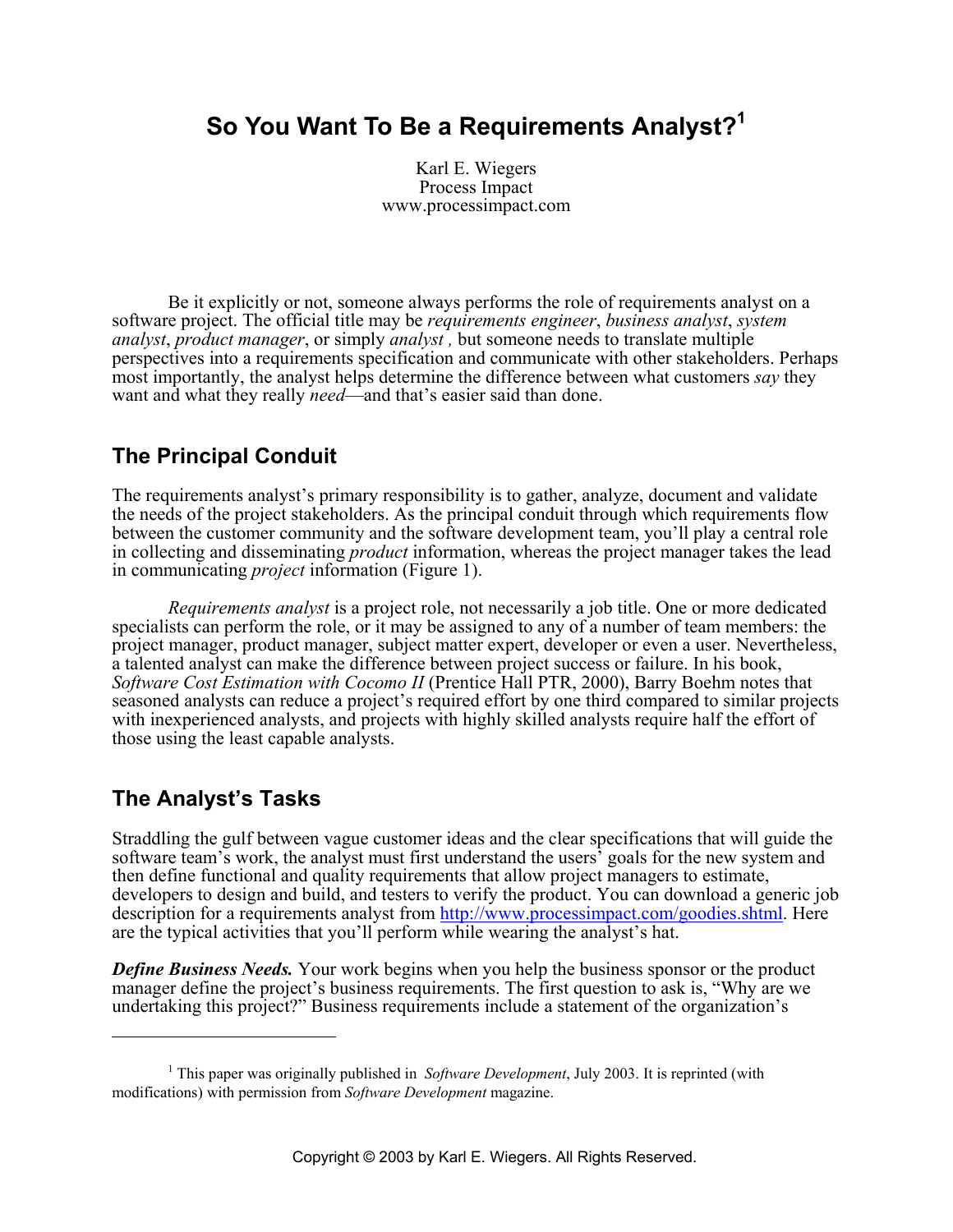# **So You Want To Be a Requirements Analyst?1**

Karl E. Wiegers Process Impact www.processimpact.com

Be it explicitly or not, someone always performs the role of requirements analyst on a software project. The official title may be *requirements engineer*, *business analyst*, *system analyst*, *product manager*, or simply *analyst ,* but someone needs to translate multiple perspectives into a requirements specification and communicate with other stakeholders. Perhaps most importantly, the analyst helps determine the difference between what customers *say* they want and what they really *need*—and that's easier said than done.

### **The Principal Conduit**

The requirements analyst's primary responsibility is to gather, analyze, document and validate the needs of the project stakeholders. As the principal conduit through which requirements flow between the customer community and the software development team, you'll play a central role in collecting and disseminating *product* information, whereas the project manager takes the lead in communicating *project* information (Figure 1).

*Requirements analyst* is a project role, not necessarily a job title. One or more dedicated specialists can perform the role, or it may be assigned to any of a number of team members: the project manager, product manager, subject matter expert, developer or even a user. Nevertheless, a talented analyst can make the difference between project success or failure. In his book, *Software Cost Estimation with Cocomo II* (Prentice Hall PTR, 2000), Barry Boehm notes that seasoned analysts can reduce a project's required effort by one third compared to similar projects with inexperienced analysts, and projects with highly skilled analysts require half the effort of those using the least capable analysts.

### **The Analyst's Tasks**

 $\overline{a}$ 

Straddling the gulf between vague customer ideas and the clear specifications that will guide the software team's work, the analyst must first understand the users<sup>3</sup> goals for the new system and then define functional and quality requirements that allow project managers to estimate, developers to design and build, and testers to verify the product. You can download a generic job description for a requirements analyst from http://www.processimpact.com/goodies.shtml. Here are the typical activities that you'll perform while wearing the analyst's hat.

*Define Business Needs.* Your work begins when you help the business sponsor or the product manager define the project's business requirements. The first question to ask is, "Why are we undertaking this project?" Business requirements include a statement of the organization's

<sup>&</sup>lt;sup>1</sup> This paper was originally published in *Software Development*, July 2003. It is reprinted (with modifications) with permission from *Software Development* magazine.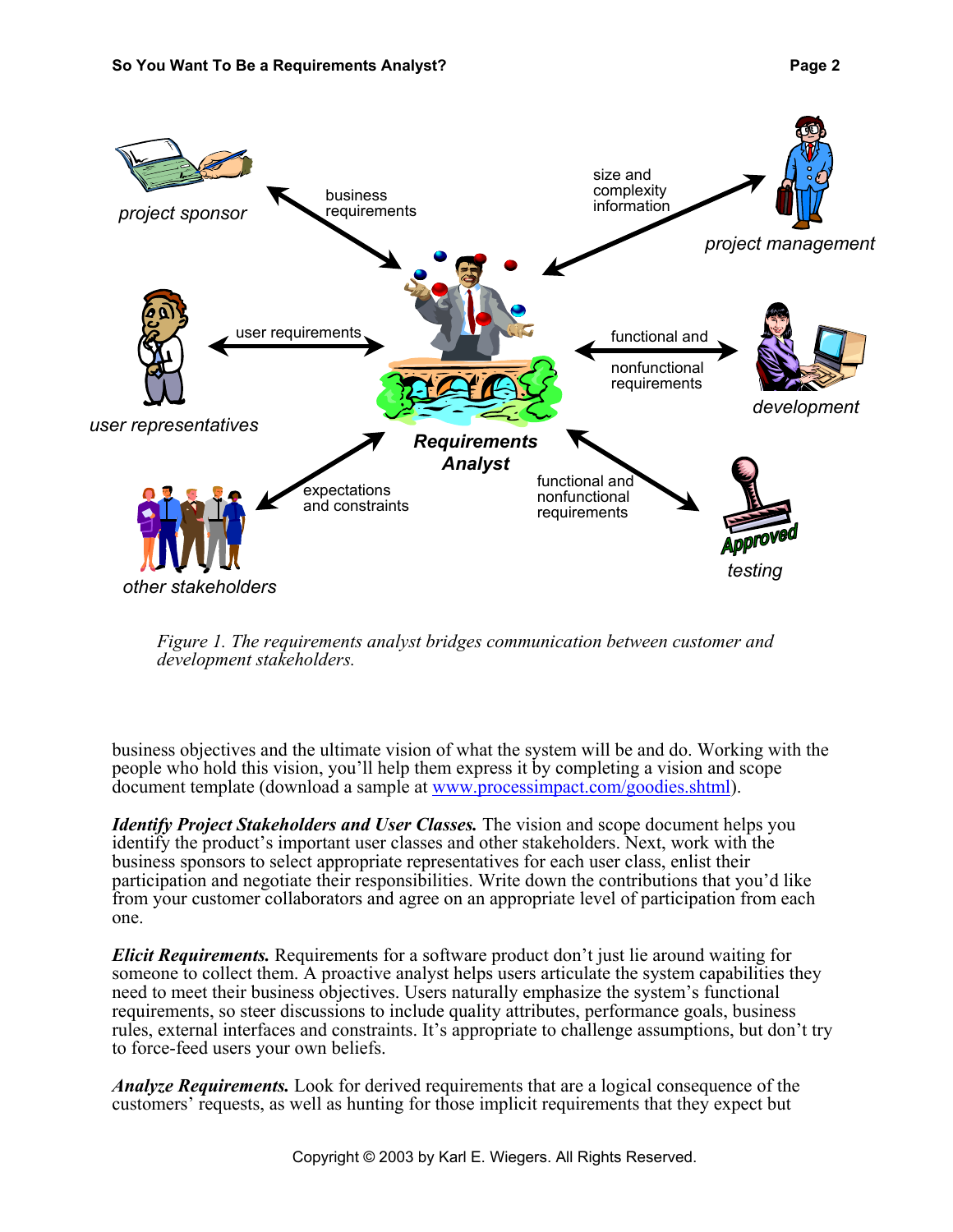

*Figure 1. The requirements analyst bridges communication between customer and development stakeholders.*

business objectives and the ultimate vision of what the system will be and do. Working with the people who hold this vision, you'll help them express it by completing a vision and scope document template (download a sample at www.processimpact.com/goodies.shtml).

*Identify Project Stakeholders and User Classes.* The vision and scope document helps you identify the product's important user classes and other stakeholders. Next, work with the business sponsors to select appropriate representatives for each user class, enlist their participation and negotiate their responsibilities. Write down the contributions that you'd like from your customer collaborators and agree on an appropriate level of participation from each one.

*Elicit Requirements.* Requirements for a software product don't just lie around waiting for someone to collect them. A proactive analyst helps users articulate the system capabilities they need to meet their business objectives. Users naturally emphasize the system's functional requirements, so steer discussions to include quality attributes, performance goals, business rules, external interfaces and constraints. It's appropriate to challenge assumptions, but don't try to force-feed users your own beliefs.

*Analyze Requirements.* Look for derived requirements that are a logical consequence of the customers' requests, as well as hunting for those implicit requirements that they expect but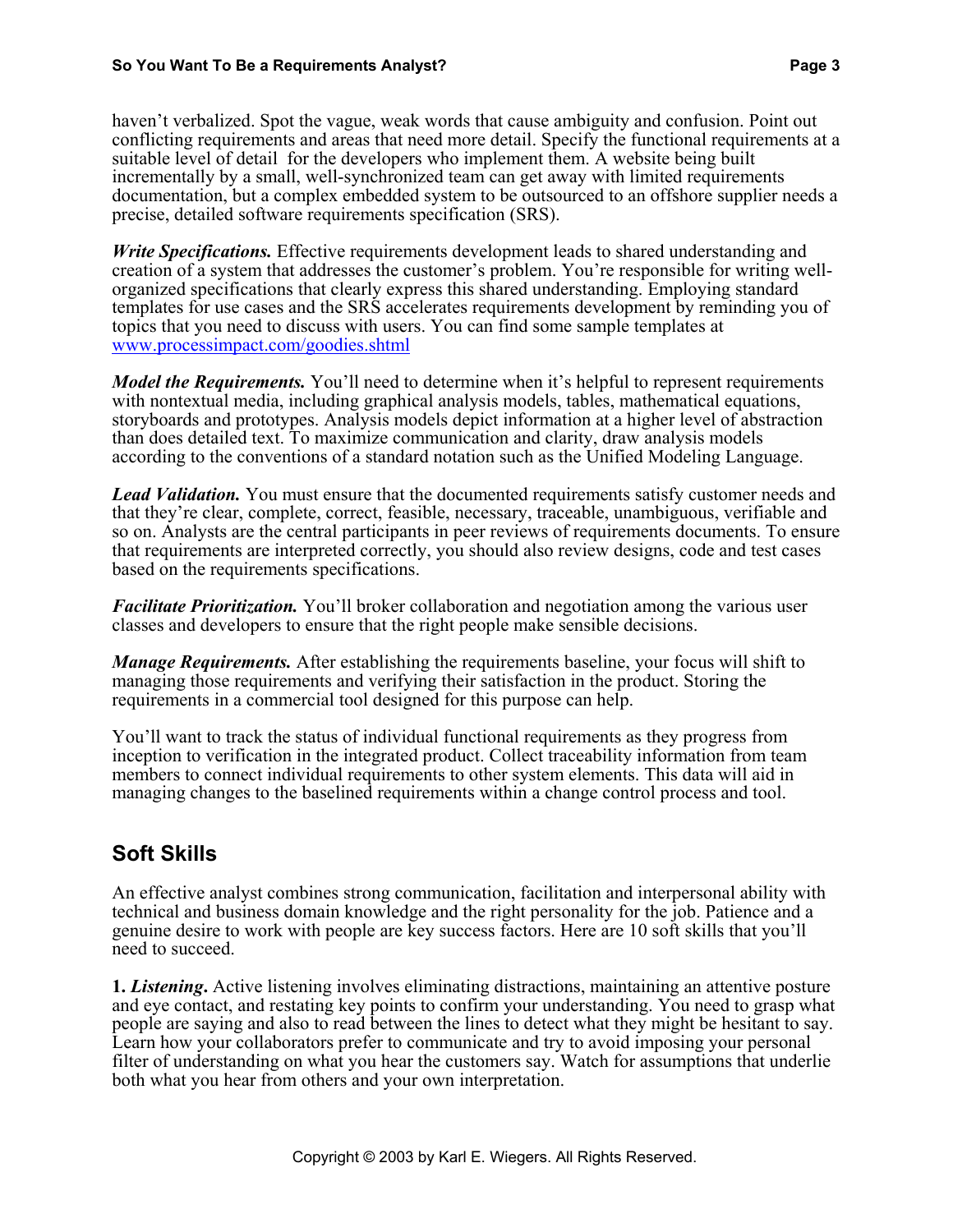haven't verbalized. Spot the vague, weak words that cause ambiguity and confusion. Point out conflicting requirements and areas that need more detail. Specify the functional requirements at a suitable level of detail for the developers who implement them. A website being built incrementally by a small, well-synchronized team can get away with limited requirements documentation, but a complex embedded system to be outsourced to an offshore supplier needs a precise, detailed software requirements specification (SRS).

*Write Specifications.* Effective requirements development leads to shared understanding and creation of a system that addresses the customer's problem. You're responsible for writing wellorganized specifications that clearly express this shared understanding. Employing standard templates for use cases and the SRS accelerates requirements development by reminding you of topics that you need to discuss with users. You can find some sample templates at www.processimpact.com/goodies.shtml

*Model the Requirements.* You'll need to determine when it's helpful to represent requirements with nontextual media, including graphical analysis models, tables, mathematical equations, storyboards and prototypes. Analysis models depict information at a higher level of abstraction than does detailed text. To maximize communication and clarity, draw analysis models according to the conventions of a standard notation such as the Unified Modeling Language.

*Lead Validation.* You must ensure that the documented requirements satisfy customer needs and that they're clear, complete, correct, feasible, necessary, traceable, unambiguous, verifiable and so on. Analysts are the central participants in peer reviews of requirements documents. To ensure that requirements are interpreted correctly, you should also review designs, code and test cases based on the requirements specifications.

*Facilitate Prioritization.* You'll broker collaboration and negotiation among the various user classes and developers to ensure that the right people make sensible decisions.

*Manage Requirements.* After establishing the requirements baseline, your focus will shift to managing those requirements and verifying their satisfaction in the product. Storing the requirements in a commercial tool designed for this purpose can help.

You'll want to track the status of individual functional requirements as they progress from inception to verification in the integrated product. Collect traceability information from team members to connect individual requirements to other system elements. This data will aid in managing changes to the baselined requirements within a change control process and tool.

## **Soft Skills**

An effective analyst combines strong communication, facilitation and interpersonal ability with technical and business domain knowledge and the right personality for the job. Patience and a genuine desire to work with people are key success factors. Here are 10 soft skills that you'll need to succeed.

**1.** *Listening***.** Active listening involves eliminating distractions, maintaining an attentive posture and eye contact, and restating key points to confirm your understanding. You need to grasp what people are saying and also to read between the lines to detect what they might be hesitant to say. Learn how your collaborators prefer to communicate and try to avoid imposing your personal filter of understanding on what you hear the customers say. Watch for assumptions that underlie both what you hear from others and your own interpretation.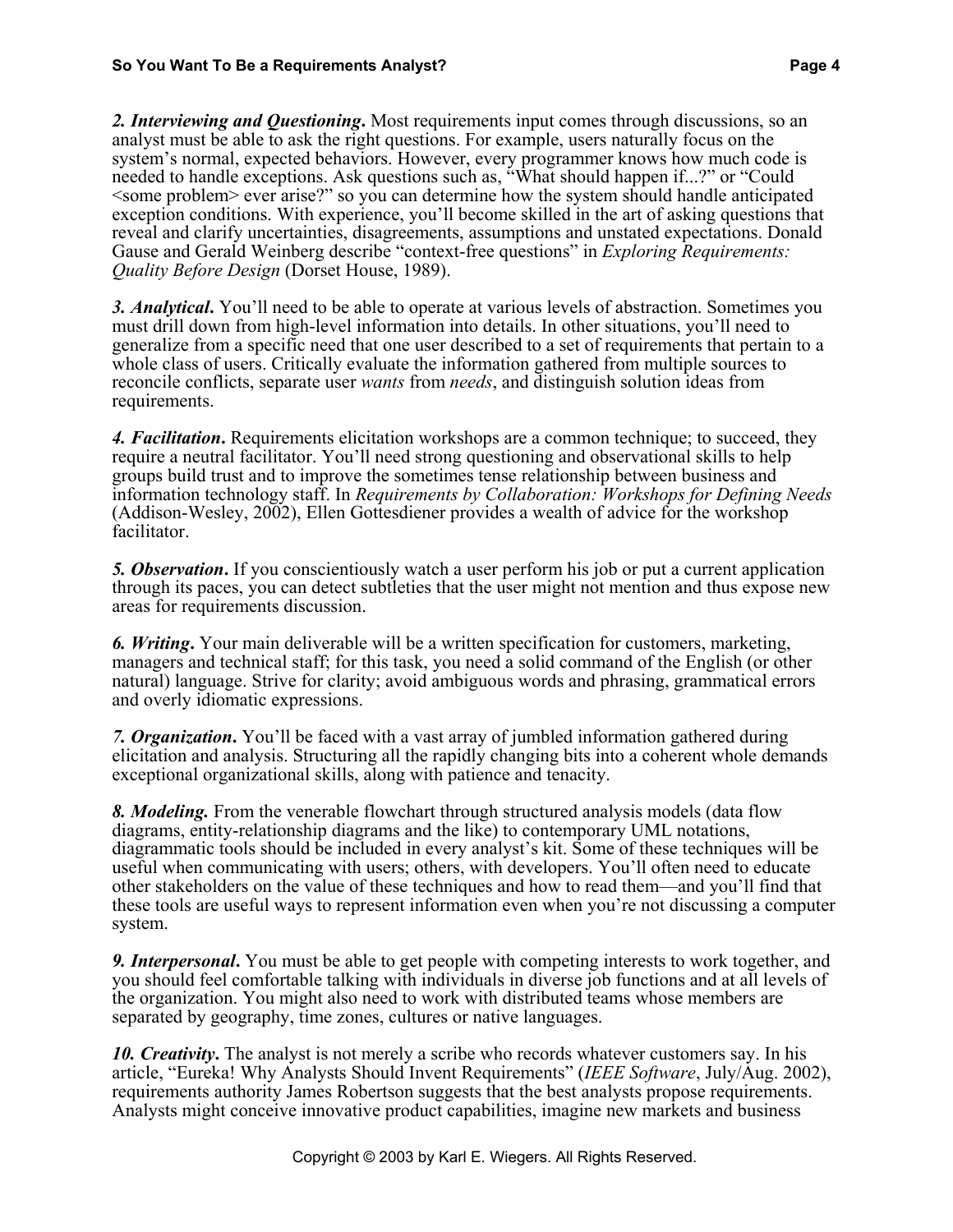*2. Interviewing and Questioning***.** Most requirements input comes through discussions, so an analyst must be able to ask the right questions. For example, users naturally focus on the system's normal, expected behaviors. However, every programmer knows how much code is needed to handle exceptions. Ask questions such as, "What should happen if...?" or "Could <some problem> ever arise?" so you can determine how the system should handle anticipated exception conditions. With experience, you'll become skilled in the art of asking questions that reveal and clarify uncertainties, disagreements, assumptions and unstated expectations. Donald Gause and Gerald Weinberg describe "context-free questions" in *Exploring Requirements: Quality Before Design* (Dorset House, 1989).

*3. Analytical***.** You'll need to be able to operate at various levels of abstraction. Sometimes you must drill down from high-level information into details. In other situations, you'll need to generalize from a specific need that one user described to a set of requirements that pertain to a whole class of users. Critically evaluate the information gathered from multiple sources to reconcile conflicts, separate user *wants* from *needs*, and distinguish solution ideas from requirements.

*4. Facilitation***.** Requirements elicitation workshops are a common technique; to succeed, they require a neutral facilitator. You'll need strong questioning and observational skills to help groups build trust and to improve the sometimes tense relationship between business and information technology staff. In *Requirements by Collaboration: Workshops for Defining Needs* (Addison-Wesley, 2002), Ellen Gottesdiener provides a wealth of advice for the workshop facilitator.

*5. Observation***.** If you conscientiously watch a user perform his job or put a current application through its paces, you can detect subtleties that the user might not mention and thus expose new areas for requirements discussion.

*6. Writing***.** Your main deliverable will be a written specification for customers, marketing, managers and technical staff; for this task, you need a solid command of the English (or other natural) language. Strive for clarity; avoid ambiguous words and phrasing, grammatical errors and overly idiomatic expressions.

*7. Organization***.** You'll be faced with a vast array of jumbled information gathered during elicitation and analysis. Structuring all the rapidly changing bits into a coherent whole demands exceptional organizational skills, along with patience and tenacity.

*8. Modeling.* From the venerable flowchart through structured analysis models (data flow diagrams, entity-relationship diagrams and the like) to contemporary UML notations, diagrammatic tools should be included in every analyst's kit. Some of these techniques will be useful when communicating with users; others, with developers. You'll often need to educate other stakeholders on the value of these techniques and how to read them—and you'll find that these tools are useful ways to represent information even when you're not discussing a computer system.

*9. Interpersonal***.** You must be able to get people with competing interests to work together, and you should feel comfortable talking with individuals in diverse job functions and at all levels of the organization. You might also need to work with distributed teams whose members are separated by geography, time zones, cultures or native languages.

*10. Creativity*. The analyst is not merely a scribe who records whatever customers say. In his article, "Eureka! Why Analysts Should Invent Requirements" (*IEEE Software*, July/Aug. 2002), requirements authority James Robertson suggests that the best analysts propose requirements. Analysts might conceive innovative product capabilities, imagine new markets and business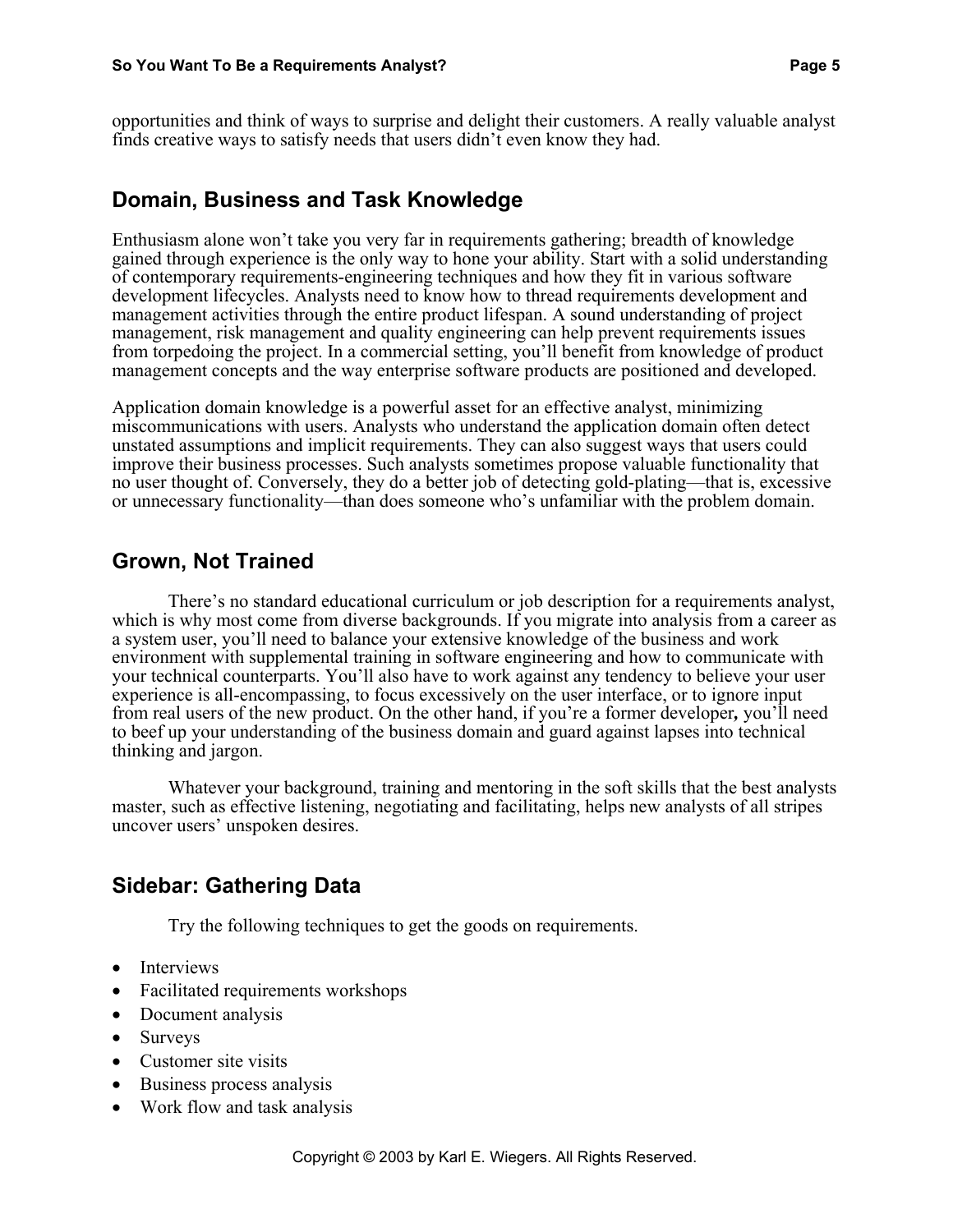opportunities and think of ways to surprise and delight their customers. A really valuable analyst finds creative ways to satisfy needs that users didn't even know they had.

#### **Domain, Business and Task Knowledge**

Enthusiasm alone won't take you very far in requirements gathering; breadth of knowledge gained through experience is the only way to hone your ability. Start with a solid understanding of contemporary requirements-engineering techniques and how they fit in various software development lifecycles. Analysts need to know how to thread requirements development and management activities through the entire product lifespan. A sound understanding of project management, risk management and quality engineering can help prevent requirements issues from torpedoing the project. In a commercial setting, you'll benefit from knowledge of product management concepts and the way enterprise software products are positioned and developed.

Application domain knowledge is a powerful asset for an effective analyst, minimizing miscommunications with users. Analysts who understand the application domain often detect unstated assumptions and implicit requirements. They can also suggest ways that users could improve their business processes. Such analysts sometimes propose valuable functionality that no user thought of. Conversely, they do a better job of detecting gold-plating—that is, excessive or unnecessary functionality—than does someone who's unfamiliar with the problem domain.

#### **Grown, Not Trained**

There's no standard educational curriculum or job description for a requirements analyst, which is why most come from diverse backgrounds. If you migrate into analysis from a career as a system user, you'll need to balance your extensive knowledge of the business and work environment with supplemental training in software engineering and how to communicate with your technical counterparts. You'll also have to work against any tendency to believe your user experience is all-encompassing, to focus excessively on the user interface, or to ignore input from real users of the new product. On the other hand, if you're a former developer*,* you'll need to beef up your understanding of the business domain and guard against lapses into technical thinking and jargon.

Whatever your background, training and mentoring in the soft skills that the best analysts master, such as effective listening, negotiating and facilitating, helps new analysts of all stripes uncover users' unspoken desires.

#### **Sidebar: Gathering Data**

Try the following techniques to get the goods on requirements.

- Interviews
- Facilitated requirements workshops
- Document analysis
- Surveys
- Customer site visits
- Business process analysis
- Work flow and task analysis